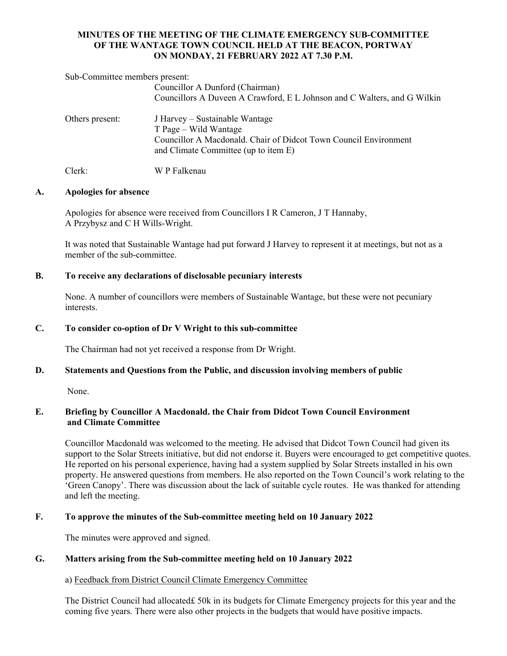# **MINUTES OF THE MEETING OF THE CLIMATE EMERGENCY SUB-COMMITTEE OF THE WANTAGE TOWN COUNCIL HELD AT THE BEACON, PORTWAY ON MONDAY, 21 FEBRUARY 2022 AT 7.30 P.M.**

Sub-Committee members present:

|                 | Councillor A Dunford (Chairman)<br>Councillors A Duveen A Crawford, E L Johnson and C Walters, and G Wilkin                                                         |
|-----------------|---------------------------------------------------------------------------------------------------------------------------------------------------------------------|
| Others present: | J Harvey – Sustainable Wantage<br>T Page – Wild Wantage<br>Councillor A Macdonald. Chair of Didcot Town Council Environment<br>and Climate Committee (up to item E) |

Clerk: W P Falkenau

# **A. Apologies for absence**

 Apologies for absence were received from Councillors I R Cameron, J T Hannaby, A Przybysz and C H Wills-Wright.

 It was noted that Sustainable Wantage had put forward J Harvey to represent it at meetings, but not as a member of the sub-committee.

# **B. To receive any declarations of disclosable pecuniary interests**

 None. A number of councillors were members of Sustainable Wantage, but these were not pecuniary interests.

# **C. To consider co-option of Dr V Wright to this sub-committee**

The Chairman had not yet received a response from Dr Wright.

# **D. Statements and Questions from the Public, and discussion involving members of public**

None.

# **E. Briefing by Councillor A Macdonald. the Chair from Didcot Town Council Environment and Climate Committee**

Councillor Macdonald was welcomed to the meeting. He advised that Didcot Town Council had given its support to the Solar Streets initiative, but did not endorse it. Buyers were encouraged to get competitive quotes. He reported on his personal experience, having had a system supplied by Solar Streets installed in his own property. He answered questions from members. He also reported on the Town Council's work relating to the 'Green Canopy'. There was discussion about the lack of suitable cycle routes. He was thanked for attending and left the meeting.

# **F. To approve the minutes of the Sub-committee meeting held on 10 January 2022**

The minutes were approved and signed.

# **G. Matters arising from the Sub-committee meeting held on 10 January 2022**

# a) Feedback from District Council Climate Emergency Committee

 The District Council had allocated£ 50k in its budgets for Climate Emergency projects for this year and the coming five years. There were also other projects in the budgets that would have positive impacts.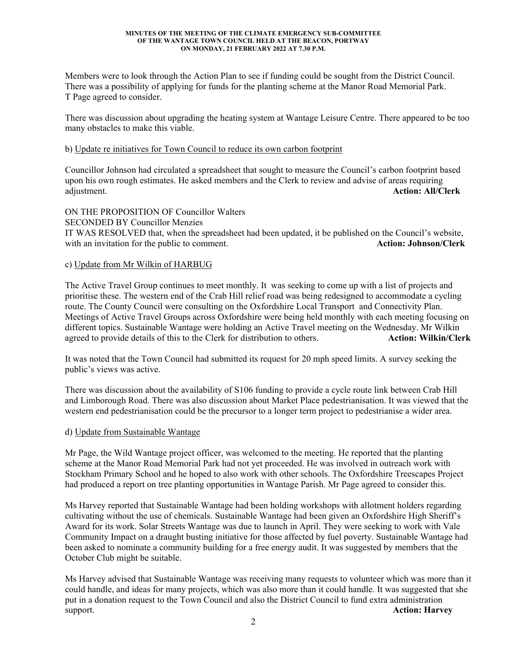#### **MINUTES OF THE MEETING OF THE CLIMATE EMERGENCY SUB-COMMITTEE OF THE WANTAGE TOWN COUNCIL HELD AT THE BEACON, PORTWAY ON MONDAY, 21 FEBRUARY 2022 AT 7.30 P.M.**

 Members were to look through the Action Plan to see if funding could be sought from the District Council. There was a possibility of applying for funds for the planting scheme at the Manor Road Memorial Park. T Page agreed to consider.

 There was discussion about upgrading the heating system at Wantage Leisure Centre. There appeared to be too many obstacles to make this viable.

### b) Update re initiatives for Town Council to reduce its own carbon footprint

Councillor Johnson had circulated a spreadsheet that sought to measure the Council's carbon footprint based upon his own rough estimates. He asked members and the Clerk to review and advise of areas requiring adjustment. **Action: All/Clerk** 

ON THE PROPOSITION OF Councillor Walters SECONDED BY Councillor Menzies IT WAS RESOLVED that, when the spreadsheet had been updated, it be published on the Council's website, with an invitation for the public to comment. **Action: Johnson/Clerk Action: Johnson/Clerk** 

# c) Update from Mr Wilkin of HARBUG

The Active Travel Group continues to meet monthly. It was seeking to come up with a list of projects and prioritise these. The western end of the Crab Hill relief road was being redesigned to accommodate a cycling route. The County Council were consulting on the Oxfordshire Local Transport and Connectivity Plan. Meetings of Active Travel Groups across Oxfordshire were being held monthly with each meeting focusing on different topics. Sustainable Wantage were holding an Active Travel meeting on the Wednesday. Mr Wilkin agreed to provide details of this to the Clerk for distribution to others. **Action: Wilkin/Clerk** 

It was noted that the Town Council had submitted its request for 20 mph speed limits. A survey seeking the public's views was active.

There was discussion about the availability of S106 funding to provide a cycle route link between Crab Hill and Limborough Road. There was also discussion about Market Place pedestrianisation. It was viewed that the western end pedestrianisation could be the precursor to a longer term project to pedestrianise a wider area.

### d) Update from Sustainable Wantage

Mr Page, the Wild Wantage project officer, was welcomed to the meeting. He reported that the planting scheme at the Manor Road Memorial Park had not yet proceeded. He was involved in outreach work with Stockham Primary School and he hoped to also work with other schools. The Oxfordshire Treescapes Project had produced a report on tree planting opportunities in Wantage Parish. Mr Page agreed to consider this.

Ms Harvey reported that Sustainable Wantage had been holding workshops with allotment holders regarding cultivating without the use of chemicals. Sustainable Wantage had been given an Oxfordshire High Sheriff's Award for its work. Solar Streets Wantage was due to launch in April. They were seeking to work with Vale Community Impact on a draught busting initiative for those affected by fuel poverty. Sustainable Wantage had been asked to nominate a community building for a free energy audit. It was suggested by members that the October Club might be suitable.

Ms Harvey advised that Sustainable Wantage was receiving many requests to volunteer which was more than it could handle, and ideas for many projects, which was also more than it could handle. It was suggested that she put in a donation request to the Town Council and also the District Council to fund extra administration support. **Action: Harvey Action: Harvey**